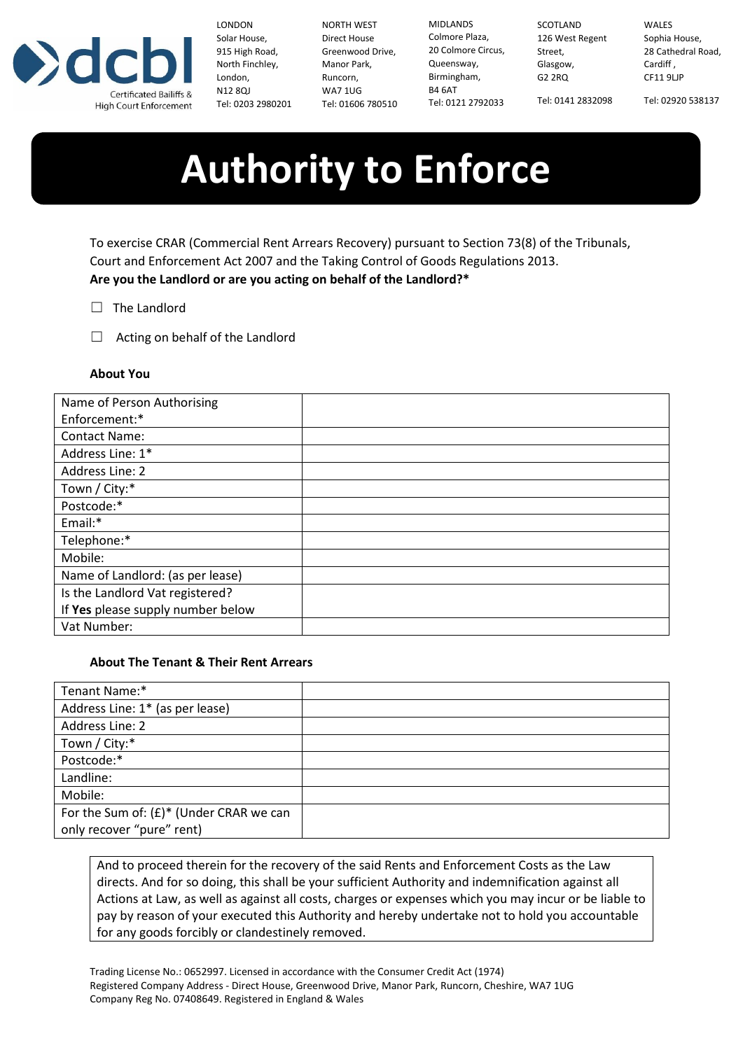

LONDON Solar House, 915 High Road, North Finchley, London, N12 8QJ Tel: 0203 2980201

NORTH WEST Direct House Greenwood Drive,<br>Manor Bark Manor Park, Runcorn, WA7 1UG Tel: 01606 780510

MIDLANDS Colmore Plaza, 20 Colmore Circus, Queensway, Birmingham, B4 6AT Tel: 0121 2792033

SCOTLAND 126 West Regent Street, Glasgow, G2 2RQ Tel: 0141 2832098

WALES Sophia House, 28 Cathedral Road, Cardiff , CF11 9LJP

Tel: 02920 538137

# **Authority to Enforce**

To exercise CRAR (Commercial Rent Arrears Recovery) pursuant to Section 73(8) of the Tribunals, Court and Enforcement Act 2007 and the Taking Control of Goods Regulations 2013. **Are you the Landlord or are you acting on behalf of the Landlord?\***

- □ The Landlord
- $\Box$  Acting on behalf of the Landlord

## **About You**

| Name of Person Authorising        |  |
|-----------------------------------|--|
| Enforcement:*                     |  |
| <b>Contact Name:</b>              |  |
| Address Line: 1*                  |  |
| Address Line: 2                   |  |
| Town / City:*                     |  |
| Postcode:*                        |  |
| Email:*                           |  |
| Telephone:*                       |  |
| Mobile:                           |  |
| Name of Landlord: (as per lease)  |  |
| Is the Landlord Vat registered?   |  |
| If Yes please supply number below |  |
| Vat Number:                       |  |

### **About The Tenant & Their Rent Arrears**

| Tenant Name:*                              |  |
|--------------------------------------------|--|
| Address Line: 1* (as per lease)            |  |
| Address Line: 2                            |  |
| Town / City:*                              |  |
| Postcode:*                                 |  |
| Landline:                                  |  |
| Mobile:                                    |  |
| For the Sum of: $(E)^*$ (Under CRAR we can |  |
| only recover "pure" rent)                  |  |

And to proceed therein for the recovery of the said Rents and Enforcement Costs as the Law directs. And for so doing, this shall be your sufficient Authority and indemnification against all Actions at Law, as well as against all costs, charges or expenses which you may incur or be liable to pay by reason of your executed this Authority and hereby undertake not to hold you accountable for any goods forcibly or clandestinely removed.